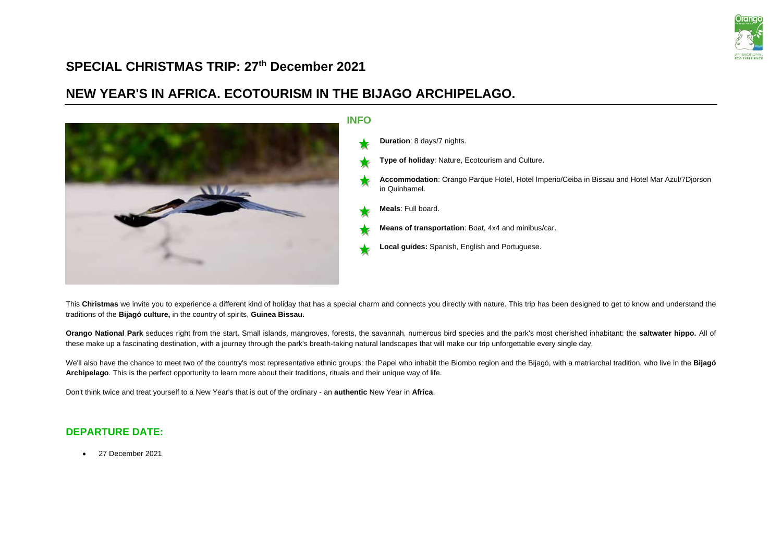

## **SPECIAL CHRISTMAS TRIP: 27th December 2021**

# **NEW YEAR'S IN AFRICA. ECOTOURISM IN THE BIJAGO ARCHIPELAGO.**



This Christmas we invite you to experience a different kind of holiday that has a special charm and connects you directly with nature. This trip has been designed to get to know and understand the traditions of the **Bijagó culture,** in the country of spirits, **Guinea Bissau.**

**Orango National Park** seduces right from the start. Small islands, mangroves, forests, the savannah, numerous bird species and the park's most cherished inhabitant: the **saltwater hippo.** All of these make up a fascinating destination, with a journey through the park's breath-taking natural landscapes that will make our trip unforgettable every single day.

We'll also have the chance to meet two of the country's most representative ethnic groups: the Papel who inhabit the Biombo region and the Bijagó, with a matriarchal tradition, who live in the Bijagó **Archipelago**. This is the perfect opportunity to learn more about their traditions, rituals and their unique way of life.

Don't think twice and treat yourself to a New Year's that is out of the ordinary - an **authentic** New Year in **Africa**.

### **DEPARTURE DATE:**

• 27 December 2021